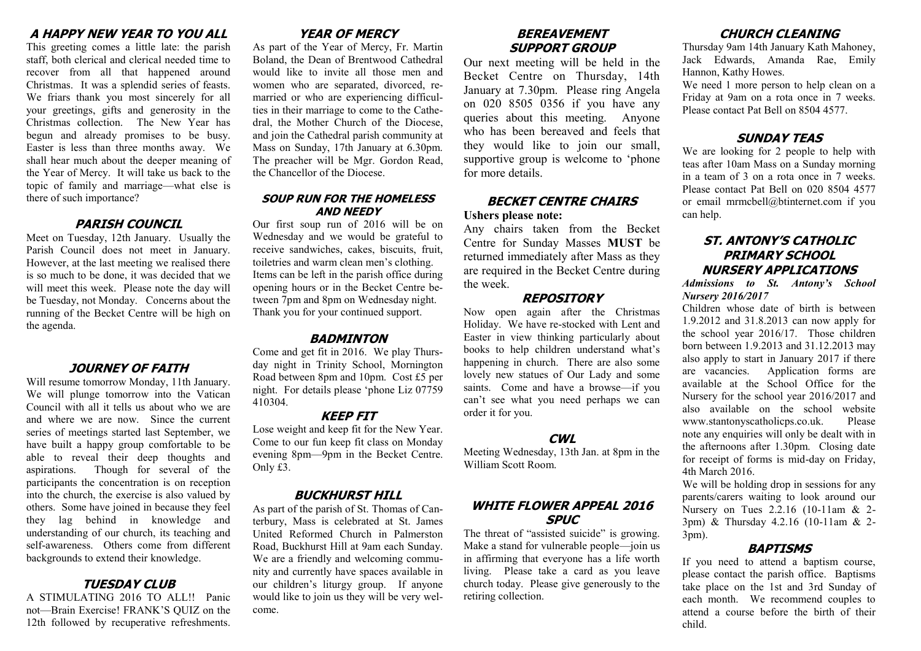## **A HAPPY NEW YEAR TO YOU ALL**

This greeting comes a little late: the parish staff, both clerical and clerical needed time to recover from all that happened around Christmas. It was a splendid series of feasts. We friars thank you most sincerely for all your greetings, gifts and generosity in the Christmas collection. The New Year has begun and already promises to be busy. Easter is less than three months away. We shall hear much about the deeper meaning of the Year of Mercy. It will take us back to the topic of family and marriage—what else is there of such importance?

#### **PARISH COUNCIL**

Meet on Tuesday, 12th January. Usually the Parish Council does not meet in January. However, at the last meeting we realised there is so much to be done, it was decided that we will meet this week. Please note the day will be Tuesday, not Monday. Concerns about the running of the Becket Centre will be high on the agenda.

#### **JOURNEY OF FAITH**

Will resume tomorrow Monday, 11th January. We will plunge tomorrow into the Vatican Council with all it tells us about who we are and where we are now. Since the current series of meetings started last September, we have built a happy group comfortable to be able to reveal their deep thoughts and aspirations. Though for several of the participants the concentration is on reception into the church, the exercise is also valued by others. Some have joined in because they feel they lag behind in knowledge and understanding of our church, its teaching and self-awareness. Others come from different backgrounds to extend their knowledge.

#### **TUESDAY CLUB**

A STIMULATING 2016 TO ALL!! Panic not—Brain Exercise! FRANK'S QUIZ on the 12th followed by recuperative refreshments.

# **YEAR OF MERCY**

As part of the Year of Mercy, Fr. Martin Boland, the Dean of Brentwood Cathedral would like to invite all those men and women who are separated, divorced, remarried or who are experiencing difficulties in their marriage to come to the Cathedral, the Mother Church of the Diocese, and join the Cathedral parish community at Mass on Sunday, 17th January at 6.30pm. The preacher will be Mgr. Gordon Read, the Chancellor of the Diocese.

#### **SOUP RUN FOR THE HOMELESS AND NEEDY**

Our first soup run of 2016 will be on Wednesday and we would be grateful to receive sandwiches, cakes, biscuits, fruit, toiletries and warm clean men's clothing. Items can be left in the parish office during opening hours or in the Becket Centre between 7pm and 8pm on Wednesday night. Thank you for your continued support.

#### **BADMINTON**

Come and get fit in 2016. We play Thursday night in Trinity School, Mornington Road between 8pm and 10pm. Cost £5 per night. For details please 'phone Liz 07759 410304.

#### **KEEP FIT**

Lose weight and keep fit for the New Year. Come to our fun keep fit class on Monday evening 8pm—9pm in the Becket Centre. Only £3.

## **BUCKHURST HILL**

As part of the parish of St. Thomas of Canterbury, Mass is celebrated at St. James United Reformed Church in Palmerston Road, Buckhurst Hill at 9am each Sunday. We are a friendly and welcoming community and currently have spaces available in our children's liturgy group. If anyone would like to join us they will be very welcome.

## **BEREAVEMENT SUPPORT GROUP**

Our next meeting will be held in the Becket Centre on Thursday, 14th January at 7.30pm. Please ring Angela on 020 8505 0356 if you have any queries about this meeting. Anyone who has been bereaved and feels that they would like to join our small, supportive group is welcome to 'phone for more details.

## **BECKET CENTRE CHAIRS Ushers please note:**

Any chairs taken from the Becket Centre for Sunday Masses **MUST** be returned immediately after Mass as they are required in the Becket Centre during the week.

#### **REPOSITORY**

Now open again after the Christmas Holiday. We have re-stocked with Lent and Easter in view thinking particularly about books to help children understand what's happening in church. There are also some lovely new statues of Our Lady and some saints. Come and have a browse—if you can't see what you need perhaps we can order it for you.

#### **CWL**

Meeting Wednesday, 13th Jan. at 8pm in the William Scott Room.

# **WHITE FLOWER APPEAL 2016 SPUC**

The threat of "assisted suicide" is growing. Make a stand for vulnerable people—join us in affirming that everyone has a life worth living. Please take a card as you leave church today. Please give generously to the retiring collection.

## **CHURCH CLEANING**

Thursday 9am 14th January Kath Mahoney, Jack Edwards, Amanda Rae, Emily Hannon, Kathy Howes.

We need 1 more person to help clean on a Friday at 9am on a rota once in 7 weeks. Please contact Pat Bell on 8504 4577.

## **SUNDAY TEAS**

We are looking for 2 people to help with teas after 10am Mass on a Sunday morning in a team of 3 on a rota once in 7 weeks. Please contact Pat Bell on 020 8504 4577 or email mrmcbell@btinternet.com if you can help.

## **ST. ANTONY'S CATHOLIC PRIMARY SCHOOL NURSERY APPLICATIONS**

*Admissions to St. Antony's School Nursery 2016/2017*

Children whose date of birth is between 1.9.2012 and 31.8.2013 can now apply for the school year 2016/17. Those children born between 1.9.2013 and 31.12.2013 may also apply to start in January 2017 if there are vacancies. Application forms are available at the School Office for the Nursery for the school year 2016/2017 and also available on the school website www.stantonyscatholicps.co.uk. Please note any enquiries will only be dealt with in the afternoons after 1.30pm. Closing date for receipt of forms is mid-day on Friday, 4th March 2016.

We will be holding drop in sessions for any parents/carers waiting to look around our Nursery on Tues 2.2.16 (10-11am & 2- 3pm) & Thursday 4.2.16 (10-11am & 2- 3pm).

# **BAPTISMS**

If you need to attend a baptism course, please contact the parish office. Baptisms take place on the 1st and 3rd Sunday of each month. We recommend couples to attend a course before the birth of their child.